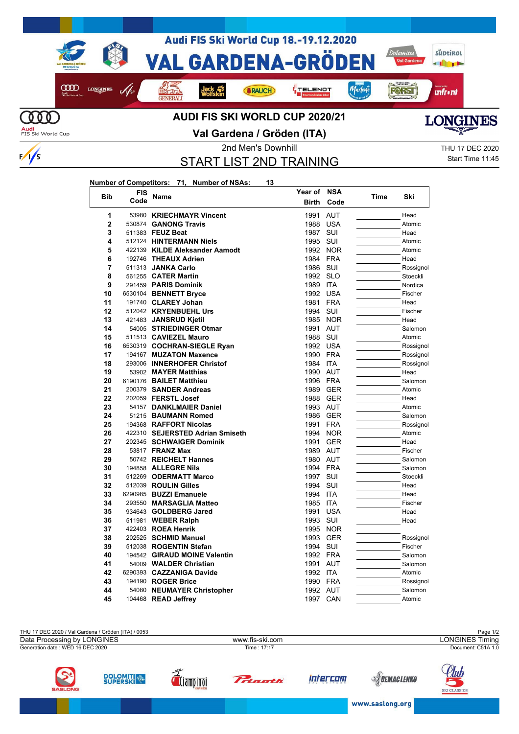



 $\frac{1}{s}$ 

## **Val Gardena / Gröden (ITA)**



START LIST 2ND TRAINING

**Year of NSA**

2nd Men's Downhill 20020 2020 THU 17 DEC 2020 Start Time 11:45

## **Number of Competitors: 71, Number of NSAs: 13**

| <b>Bib</b>     | FIS    |                                 | Year of      | NSA        |      |           |
|----------------|--------|---------------------------------|--------------|------------|------|-----------|
|                | Code   | Name                            | <b>Birth</b> | Code       | Time | Ski       |
| 1              | 53980  | <b>KRIECHMAYR Vincent</b>       | 1991         | <b>AUT</b> |      | Head      |
| $\overline{2}$ | 530874 | <b>GANONG Travis</b>            | 1988         | <b>USA</b> |      | Atomic    |
| 3              |        | 511383 FEUZ Beat                | 1987         | <b>SUI</b> |      | Head      |
| 4              |        | 512124 HINTERMANN Niels         | 1995         | SUI        |      | Atomic    |
| 5              |        | 422139 KILDE Aleksander Aamodt  | 1992         | <b>NOR</b> |      | Atomic    |
| 6              |        | 192746 THEAUX Adrien            | 1984 FRA     |            |      | Head      |
| 7              |        | 511313 JANKA Carlo              | 1986         | SUI        |      | Rossignol |
| 8              |        | 561255 CATER Martin             | 1992 SLO     |            |      | Stoeckli  |
| 9              |        | 291459 PARIS Dominik            | 1989         | <b>ITA</b> |      | Nordica   |
| 10             |        | 6530104 BENNETT Bryce           |              | 1992 USA   |      | Fischer   |
| 11             |        | 191740 CLAREY Johan             | 1981         | <b>FRA</b> |      | Head      |
| 12             |        | 512042 KRYENBUEHL Urs           | 1994         | SUI        |      | Fischer   |
| 13             |        | 421483 JANSRUD Kjetil           | 1985         | <b>NOR</b> |      | Head      |
| 14             |        | 54005 STRIEDINGER Otmar         | 1991         | <b>AUT</b> |      | Salomon   |
| 15             |        | 511513 CAVIEZEL Mauro           | 1988         | SUI        |      | Atomic    |
| 16             |        | 6530319 COCHRAN-SIEGLE Ryan     |              | 1992 USA   |      | Rossignol |
| 17             |        | 194167 MUZATON Maxence          | 1990 FRA     |            |      | Rossignol |
| 18             |        | 293006 INNERHOFER Christof      | 1984 ITA     |            |      | Rossignol |
| 19             |        | 53902 MAYER Matthias            | 1990 AUT     |            |      | Head      |
| 20             |        | 6190176 BAILET Matthieu         | 1996 FRA     |            |      | Salomon   |
| 21             |        | 200379 SANDER Andreas           | 1989         | <b>GER</b> |      | Atomic    |
| 22             |        | 202059 FERSTL Josef             |              | 1988 GER   |      | Head      |
| 23             |        | 54157 DANKLMAIER Daniel         | 1993 AUT     |            |      | Atomic    |
| 24             |        | 51215 BAUMANN Romed             | 1986         | <b>GER</b> |      | Salomon   |
| 25             |        | 194368 RAFFORT Nicolas          | 1991         | <b>FRA</b> |      | Rossignol |
| 26             |        | 422310 SEJERSTED Adrian Smiseth | 1994         | <b>NOR</b> |      | Atomic    |
| 27             |        | 202345 SCHWAIGER Dominik        | 1991         | <b>GER</b> |      | Head      |
| 28             |        | 53817 <b>FRANZ Max</b>          | 1989         | AUT        |      | Fischer   |
| 29             |        | 50742 REICHELT Hannes           | 1980         | AUT        |      | Salomon   |
| 30             |        | 194858 ALLEGRE Nils             | 1994 FRA     |            |      | Salomon   |
| 31             |        | 512269 ODERMATT Marco           | 1997         | SUI        |      | Stoeckli  |
| 32             |        | 512039 ROULIN Gilles            | 1994         | SUI        |      | Head      |
| 33             |        | 6290985 BUZZI Emanuele          | 1994 ITA     |            |      | Head      |
| 34             |        | 293550 MARSAGLIA Matteo         | 1985 ITA     |            |      | Fischer   |
| 35             |        | 934643 GOLDBERG Jared           | 1991         | <b>USA</b> |      | Head      |
| 36             |        | 511981 WEBER Ralph              | 1993 SUI     |            |      | Head      |
| 37             |        | 422403 ROEA Henrik              | 1995         | <b>NOR</b> |      |           |
| 38             |        | 202525 SCHMID Manuel            | 1993         | <b>GER</b> |      | Rossignol |
| 39             |        | 512038 ROGENTIN Stefan          | 1994         | SUI        |      | Fischer   |
| 40             |        | 194542 GIRAUD MOINE Valentin    | 1992 FRA     |            |      | Salomon   |
| 41             |        | 54009 WALDER Christian          | 1991         | <b>AUT</b> |      | Salomon   |
| 42             |        | 6290393 CAZZANIGA Davide        | 1992 ITA     |            |      | Atomic    |
| 43             |        | 194190 ROGER Brice              | 1990 FRA     |            |      | Rossignol |
| 44             |        | 54080 NEUMAYER Christopher      | 1992 AUT     |            |      | Salomon   |
| 45             |        | 104468 READ Jeffrey             | 1997         | CAN        |      | Atomic    |